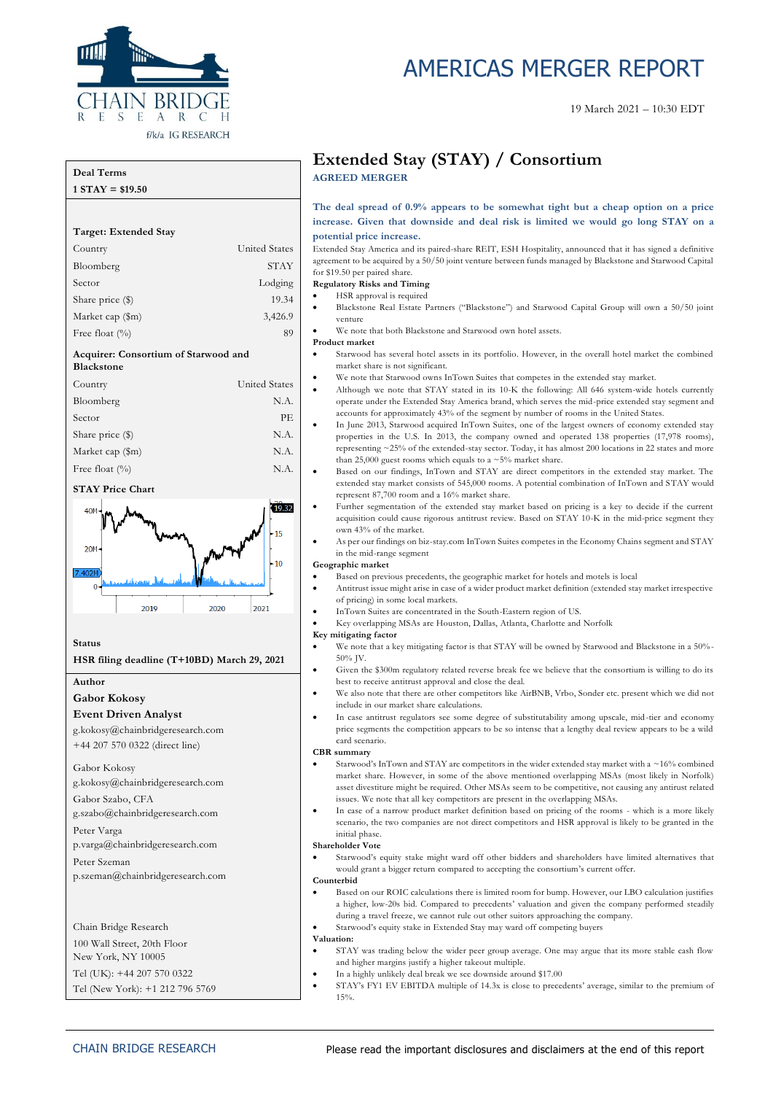

# AMERICAS MERGER REPORT

#### 19 March 2021 – 10:30 EDT

#### **Deal Terms 1 STAY = \$19.50**

**Target: Extended Stay** Country United States Bloomberg STAY Sector Lodging Share price (\$) 19.34 Market cap (\$m) 3,426.9 Free float  $(^{0}/_{0})$  89 **Acquirer: Consortium of Starwood and Blackstone** Country United States Bloomberg N.A. Sector PE Share price  $(\$)$  N.A. Market cap (\$m) N.A. Free float  $(^{0}_{0})$  N.A.

### **STAY Price Chart**



**Status**

#### **HSR filing deadline (T+10BD) March 29, 2021**

**Author**

**Gabor Kokosy**

#### **Event Driven Analyst**

g.kokosy@chainbridgeresearch.com +44 207 570 0322 (direct line)

#### Gabor Kokosy g.kokosy@chainbridgeresearch.com

Gabor Szabo, CFA

g.szabo@chainbridgeresearch.com

Peter Varga

p.varga@chainbridgeresearch.com

Peter Szeman p.szeman@chainbridgeresearch.com

Chain Bridge Research

100 Wall Street, 20th Floor

New York, NY 10005

Tel (UK): +44 207 570 0322

Tel (New York): +1 212 796 5769

## **Extended Stay (STAY) / Consortium AGREED MERGER**

**The deal spread of 0.9% appears to be somewhat tight but a cheap option on a price increase. Given that downside and deal risk is limited we would go long STAY on a potential price increase.**

Extended Stay America and its paired-share REIT, ESH Hospitality, announced that it has signed a definitive agreement to be acquired by a 50/50 joint venture between funds managed by Blackstone and Starwood Capital for \$19.50 per paired share.

- **Regulatory Risks and Timing** • HSR approval is required
- Blackstone Real Estate Partners ("Blackstone") and Starwood Capital Group will own a 50/50 joint venture
- We note that both Blackstone and Starwood own hotel assets.

#### **Product market**

- Starwood has several hotel assets in its portfolio. However, in the overall hotel market the combined market share is not significant.
- We note that Starwood owns InTown Suites that competes in the extended stay market.
- Although we note that STAY stated in its 10-K the following: All 646 system-wide hotels currently operate under the Extended Stay America brand, which serves the mid-price extended stay segment and accounts for approximately 43% of the segment by number of rooms in the United States.
- In June 2013, Starwood acquired InTown Suites, one of the largest owners of economy extended stay properties in the U.S. In 2013, the company owned and operated 138 properties (17,978 rooms), representing ~25% of the extended-stay sector. Today, it has almost 200 locations in 22 states and more than 25,000 guest rooms which equals to a  $\sim$  5% market share.
- Based on our findings, InTown and STAY are direct competitors in the extended stay market. The extended stay market consists of 545,000 rooms. A potential combination of InTown and STAY would represent 87,700 room and a 16% market share.
- Further segmentation of the extended stay market based on pricing is a key to decide if the current acquisition could cause rigorous antitrust review. Based on STAY 10-K in the mid-price segment they own 43% of the market.
- As per our findings on biz-stay.com InTown Suites competes in the Economy Chains segment and STAY in the mid-range segment

#### **Geographic market**

- Based on previous precedents, the geographic market for hotels and motels is local
	- Antitrust issue might arise in case of a wider product market definition (extended stay market irrespective of pricing) in some local markets.
	- InTown Suites are concentrated in the South-Eastern region of US.
- Key overlapping MSAs are Houston, Dallas, Atlanta, Charlotte and Norfolk

#### **Key mitigating factor**

- We note that a key mitigating factor is that STAY will be owned by Starwood and Blackstone in a 50%- 50% JV.
- Given the \$300m regulatory related reverse break fee we believe that the consortium is willing to do its best to receive antitrust approval and close the deal.
- We also note that there are other competitors like AirBNB, Vrbo, Sonder etc. present which we did not include in our market share calculations.
- In case antitrust regulators see some degree of substitutability among upscale, mid-tier and economy price segments the competition appears to be so intense that a lengthy deal review appears to be a wild card scenario.

#### **CBR summary**

- Starwood's InTown and STAY are competitors in the wider extended stay market with a ~16% combined market share. However, in some of the above mentioned overlapping MSAs (most likely in Norfolk) asset divestiture might be required. Other MSAs seem to be competitive, not causing any antirust related issues. We note that all key competitors are present in the overlapping MSAs.
- In case of a narrow product market definition based on pricing of the rooms which is a more likely scenario, the two companies are not direct competitors and HSR approval is likely to be granted in the initial phase.

#### **Shareholder Vote**

• Starwood's equity stake might ward off other bidders and shareholders have limited alternatives that would grant a bigger return compared to accepting the consortium's current offer.

#### **Counterbid**

- Based on our ROIC calculations there is limited room for bump. However, our LBO calculation justifies a higher, low-20s bid. Compared to precedents' valuation and given the company performed steadily during a travel freeze, we cannot rule out other suitors approaching the company.
	- Starwood's equity stake in Extended Stay may ward off competing buyers

#### **Valuation:**

- STAY was trading below the wider peer group average. One may argue that its more stable cash flow and higher margins justify a higher takeout multiple.
- In a highly unlikely deal break we see downside around \$17.00
- STAY's FY1 EV EBITDA multiple of 14.3x is close to precedents' average, similar to the premium of 15%.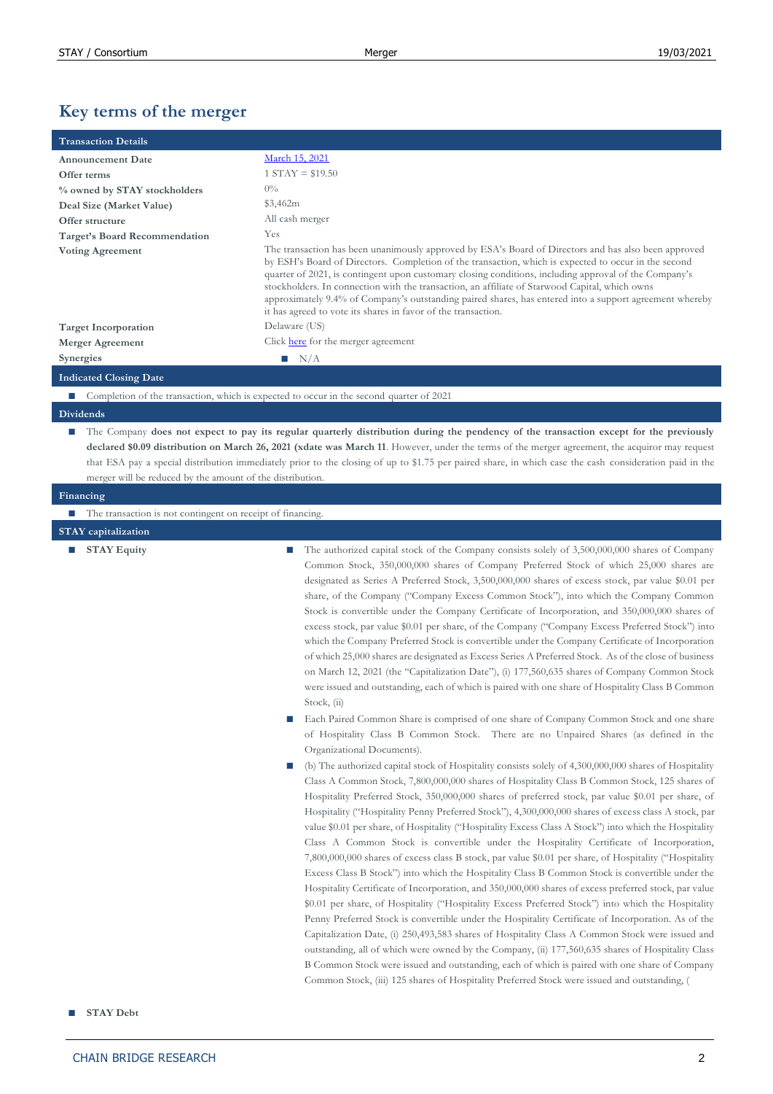# **Key terms of the merger**

| <b>Transaction Details</b>    |                                                                                                                                                                                                                                                                                                                                                                                                                                                                                                                                                                                                     |
|-------------------------------|-----------------------------------------------------------------------------------------------------------------------------------------------------------------------------------------------------------------------------------------------------------------------------------------------------------------------------------------------------------------------------------------------------------------------------------------------------------------------------------------------------------------------------------------------------------------------------------------------------|
| <b>Announcement Date</b>      | March 15, 2021                                                                                                                                                                                                                                                                                                                                                                                                                                                                                                                                                                                      |
| Offer terms                   | $1 STAY = $19.50$                                                                                                                                                                                                                                                                                                                                                                                                                                                                                                                                                                                   |
| % owned by STAY stockholders  | $0\%$                                                                                                                                                                                                                                                                                                                                                                                                                                                                                                                                                                                               |
| Deal Size (Market Value)      | \$3,462m                                                                                                                                                                                                                                                                                                                                                                                                                                                                                                                                                                                            |
| Offer structure               | All cash merger                                                                                                                                                                                                                                                                                                                                                                                                                                                                                                                                                                                     |
| Target's Board Recommendation | Yes                                                                                                                                                                                                                                                                                                                                                                                                                                                                                                                                                                                                 |
| <b>Voting Agreement</b>       | The transaction has been unanimously approved by ESA's Board of Directors and has also been approved<br>by ESH's Board of Directors. Completion of the transaction, which is expected to occur in the second<br>quarter of 2021, is contingent upon customary closing conditions, including approval of the Company's<br>stockholders. In connection with the transaction, an affiliate of Starwood Capital, which owns<br>approximately 9.4% of Company's outstanding paired shares, has entered into a support agreement whereby<br>it has agreed to vote its shares in favor of the transaction. |
| <b>Target Incorporation</b>   | Delaware (US)                                                                                                                                                                                                                                                                                                                                                                                                                                                                                                                                                                                       |
| Merger Agreement              | Click here for the merger agreement                                                                                                                                                                                                                                                                                                                                                                                                                                                                                                                                                                 |
| <b>Synergies</b>              | $\blacksquare$ N/A                                                                                                                                                                                                                                                                                                                                                                                                                                                                                                                                                                                  |
| <b>Indicated Closing Date</b> |                                                                                                                                                                                                                                                                                                                                                                                                                                                                                                                                                                                                     |
|                               | ■ Completion of the transaction, which is expected to occur in the second quarter of 2021                                                                                                                                                                                                                                                                                                                                                                                                                                                                                                           |
| <b>Dividends</b>              |                                                                                                                                                                                                                                                                                                                                                                                                                                                                                                                                                                                                     |
|                               | The Company does not expect to pay its regular quarterly distribution during the pendency of the transaction except for the previously<br>declared \$0.09 distribution on March 26, 2021 (xdate was March 11. However, under the terms of the merger agreement, the acquiror may request                                                                                                                                                                                                                                                                                                            |

```
that ESA pay a special distribution immediately prior to the closing of up to $1.75 per paired share, in which case the cash consideration paid in the 
merger will be reduced by the amount of the distribution.
```

```
Financing
```

```
■ The transaction is not contingent on receipt of financing.
```
#### **STAY capitalization**

**■ STAY Equity ■** The authorized capital stock of the Company consists solely of 3,500,000,000 shares of Company Common Stock, 350,000,000 shares of Company Preferred Stock of which 25,000 shares are designated as Series A Preferred Stock, 3,500,000,000 shares of excess stock, par value \$0.01 per share, of the Company ("Company Excess Common Stock"), into which the Company Common Stock is convertible under the Company Certificate of Incorporation, and 350,000,000 shares of excess stock, par value \$0.01 per share, of the Company ("Company Excess Preferred Stock") into which the Company Preferred Stock is convertible under the Company Certificate of Incorporation of which 25,000 shares are designated as Excess Series A Preferred Stock. As of the close of business on March 12, 2021 (the "Capitalization Date"), (i) 177,560,635 shares of Company Common Stock were issued and outstanding, each of which is paired with one share of Hospitality Class B Common Stock, (ii)

- Each Paired Common Share is comprised of one share of Company Common Stock and one share of Hospitality Class B Common Stock. There are no Unpaired Shares (as defined in the Organizational Documents).
- (b) The authorized capital stock of Hospitality consists solely of 4,300,000,000 shares of Hospitality Class A Common Stock, 7,800,000,000 shares of Hospitality Class B Common Stock, 125 shares of Hospitality Preferred Stock, 350,000,000 shares of preferred stock, par value \$0.01 per share, of Hospitality ("Hospitality Penny Preferred Stock"), 4,300,000,000 shares of excess class A stock, par value \$0.01 per share, of Hospitality ("Hospitality Excess Class A Stock") into which the Hospitality Class A Common Stock is convertible under the Hospitality Certificate of Incorporation, 7,800,000,000 shares of excess class B stock, par value \$0.01 per share, of Hospitality ("Hospitality Excess Class B Stock") into which the Hospitality Class B Common Stock is convertible under the Hospitality Certificate of Incorporation, and 350,000,000 shares of excess preferred stock, par value \$0.01 per share, of Hospitality ("Hospitality Excess Preferred Stock") into which the Hospitality Penny Preferred Stock is convertible under the Hospitality Certificate of Incorporation. As of the Capitalization Date, (i) 250,493,583 shares of Hospitality Class A Common Stock were issued and outstanding, all of which were owned by the Company, (ii) 177,560,635 shares of Hospitality Class B Common Stock were issued and outstanding, each of which is paired with one share of Company Common Stock, (iii) 125 shares of Hospitality Preferred Stock were issued and outstanding, (

**■ STAY Debt**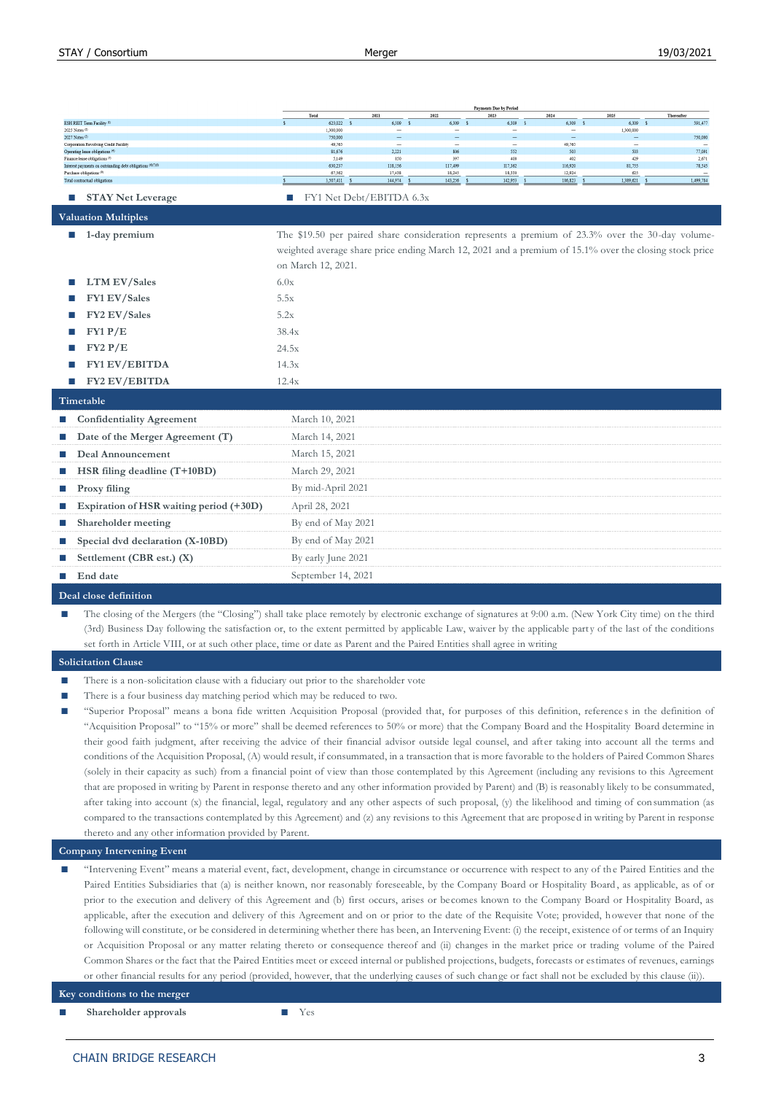|                                                                                            | Total                                                                                                                        | 2021                     | 2022           | 2023           | 2024           | 2025          | Thereafter      |
|--------------------------------------------------------------------------------------------|------------------------------------------------------------------------------------------------------------------------------|--------------------------|----------------|----------------|----------------|---------------|-----------------|
| ESH REIT Term Facility <sup>(1)</sup>                                                      | 623,022                                                                                                                      | 6,309                    | 6,309          | 6,309          | 6,309          | 6,309         | 591,477         |
| 2025 Notes (7)<br>2027 Notes (3)                                                           | 1,300,000<br>750,000                                                                                                         |                          |                |                |                | 1,300,000     | 750,000         |
| Corporation Revolving Credit Facility                                                      | 49,765                                                                                                                       | $\overline{\phantom{0}}$ | ۰              | ۰              | 49,765         |               |                 |
| Operating lease obligations <sup>(</sup>                                                   | \$1,676                                                                                                                      | 2,221                    | 806            | 552            | 503            | 503           | 77,091          |
| Finance lease obligations (5)<br>Interest payments on outstanding debt obligations (9/7/8) | 5,149<br>630,237                                                                                                             | 850<br>118,156           | 397<br>117,499 | 400<br>117,362 | 402<br>116,920 | 429<br>81,755 | 2,671<br>78,545 |
| Purchase obligations <sup>(9)</sup>                                                        | 67,562                                                                                                                       | 17,438                   | 18,245         | 18,330         | 12,924         | 625           |                 |
| Total contractual obligations                                                              | 3,507,411                                                                                                                    | 144,974                  | 143,256        | 142,953        | 186,823        | 1,389,621     | 1,499,784       |
| <b>STAY Net Leverage</b>                                                                   | T.                                                                                                                           | FY1 Net Debt/EBITDA 6.3x |                |                |                |               |                 |
| <b>Valuation Multiples</b>                                                                 |                                                                                                                              |                          |                |                |                |               |                 |
| 1-day premium<br>ш                                                                         | The \$19.50 per paired share consideration represents a premium of 23.3% over the 30-day volume-                             |                          |                |                |                |               |                 |
|                                                                                            | weighted average share price ending March 12, 2021 and a premium of 15.1% over the closing stock price<br>on March 12, 2021. |                          |                |                |                |               |                 |
| <b>LTM EV/Sales</b>                                                                        | 6.0x                                                                                                                         |                          |                |                |                |               |                 |
| FY1 EV/Sales                                                                               | 5.5x                                                                                                                         |                          |                |                |                |               |                 |
| FY2 EV/Sales                                                                               | 5.2x                                                                                                                         |                          |                |                |                |               |                 |
| FY1 P/E                                                                                    | 38.4x                                                                                                                        |                          |                |                |                |               |                 |
| FY2 P/E                                                                                    | 24.5x                                                                                                                        |                          |                |                |                |               |                 |
| <b>FY1 EV/EBITDA</b>                                                                       | 14.3x                                                                                                                        |                          |                |                |                |               |                 |
| <b>FY2 EV/EBITDA</b>                                                                       | 12.4x                                                                                                                        |                          |                |                |                |               |                 |
| Timetable                                                                                  |                                                                                                                              |                          |                |                |                |               |                 |
| <b>Confidentiality Agreement</b>                                                           | March 10, 2021                                                                                                               |                          |                |                |                |               |                 |
| Date of the Merger Agreement (T)                                                           | March 14, 2021                                                                                                               |                          |                |                |                |               |                 |
| Deal Announcement                                                                          | March 15, 2021                                                                                                               |                          |                |                |                |               |                 |
| HSR filing deadline (T+10BD)                                                               | March 29, 2021                                                                                                               |                          |                |                |                |               |                 |
| Proxy filing                                                                               | By mid-April 2021                                                                                                            |                          |                |                |                |               |                 |
| Expiration of HSR waiting period (+30D)                                                    | April 28, 2021                                                                                                               |                          |                |                |                |               |                 |
| Shareholder meeting<br>ш                                                                   | By end of May 2021                                                                                                           |                          |                |                |                |               |                 |
| Special dvd declaration (X-10BD)                                                           | By end of May 2021                                                                                                           |                          |                |                |                |               |                 |
| Settlement (CBR est.) (X)                                                                  | By early June 2021                                                                                                           |                          |                |                |                |               |                 |
| End date                                                                                   | September 14, 2021                                                                                                           |                          |                |                |                |               |                 |
| Deal close definition                                                                      |                                                                                                                              |                          |                |                |                |               |                 |

**Deal close definition**

The closing of the Mergers (the "Closing") shall take place remotely by electronic exchange of signatures at 9:00 a.m. (New York City time) on the third (3rd) Business Day following the satisfaction or, to the extent permitted by applicable Law, waiver by the applicable part y of the last of the conditions set forth in Article VIII, or at such other place, time or date as Parent and the Paired Entities shall agree in writing

#### **Solicitation Clause**

- There is a non-solicitation clause with a fiduciary out prior to the shareholder vote
- There is a four business day matching period which may be reduced to two.
- **■** "Superior Proposal" means a bona fide written Acquisition Proposal (provided that, for purposes of this definition, reference s in the definition of "Acquisition Proposal" to "15% or more" shall be deemed references to 50% or more) that the Company Board and the Hospitality Board determine in their good faith judgment, after receiving the advice of their financial advisor outside legal counsel, and after taking into account all the terms and conditions of the Acquisition Proposal, (A) would result, if consummated, in a transaction that is more favorable to the holders of Paired Common Shares (solely in their capacity as such) from a financial point of view than those contemplated by this Agreement (including any revisions to this Agreement that are proposed in writing by Parent in response thereto and any other information provided by Parent) and (B) is reasonably likely to be consummated, after taking into account (x) the financial, legal, regulatory and any other aspects of such proposal, (y) the likelihood and timing of consummation (as compared to the transactions contemplated by this Agreement) and (z) any revisions to this Agreement that are proposed in writing by Parent in response thereto and any other information provided by Parent.

**Company Intervening Event**

**■** "Intervening Event" means a material event, fact, development, change in circumstance or occurrence with respect to any of the Paired Entities and the Paired Entities Subsidiaries that (a) is neither known, nor reasonably foreseeable, by the Company Board or Hospitality Board , as applicable, as of or prior to the execution and delivery of this Agreement and (b) first occurs, arises or becomes known to the Company Board or Hospitality Board, as applicable, after the execution and delivery of this Agreement and on or prior to the date of the Requisite Vote; provided, however that none of the following will constitute, or be considered in determining whether there has been, an Intervening Event: (i) the receipt, existence of or terms of an Inquiry or Acquisition Proposal or any matter relating thereto or consequence thereof and (ii) changes in the market price or trading volume of the Paired Common Shares or the fact that the Paired Entities meet or exceed internal or published projections, budgets, forecasts or estimates of revenues, earnings or other financial results for any period (provided, however, that the underlying causes of such change or fact shall not be excluded by this clause (ii)).

**Key conditions to the merger**

**■ Shareholder approvals ■** Yes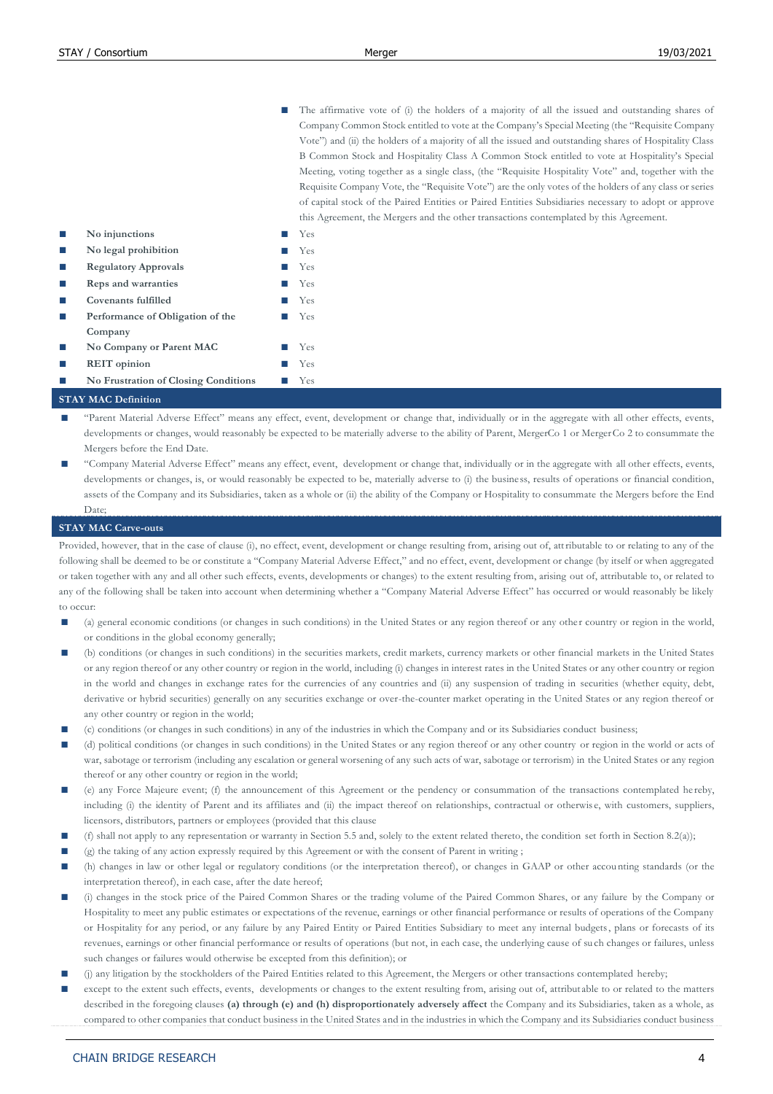■ The affirmative vote of (i) the holders of a majority of all the issued and outstanding shares of Company Common Stock entitled to vote at the Company's Special Meeting (the "Requisite Company Vote") and (ii) the holders of a majority of all the issued and outstanding shares of Hospitality Class B Common Stock and Hospitality Class A Common Stock entitled to vote at Hospitality's Special Meeting, voting together as a single class, (the "Requisite Hospitality Vote" and, together with the Requisite Company Vote, the "Requisite Vote") are the only votes of the holders of any class or series of capital stock of the Paired Entities or Paired Entities Subsidiaries necessary to adopt or approve this Agreement, the Mergers and the other transactions contemplated by this Agreement.

|                                      | $\frac{1}{2}$ |
|--------------------------------------|---------------|
| No injunctions                       | <b>Yes</b>    |
| No legal prohibition                 | <b>Yes</b>    |
| <b>Regulatory Approvals</b>          | <b>Yes</b>    |
| Reps and warranties                  | <b>Yes</b>    |
| Covenants fulfilled                  | <b>Yes</b>    |
| Performance of Obligation of the     | <b>Yes</b>    |
| Company                              |               |
| No Company or Parent MAC             | Yes           |
| <b>REIT</b> opinion                  | Yes           |
| No Frustration of Closing Conditions | Yes           |

## **STAY MAC Definition**

- "Parent Material Adverse Effect" means any effect, event, development or change that, individually or in the aggregate with all other effects, events, developments or changes, would reasonably be expected to be materially adverse to the ability of Parent, MergerCo 1 or MergerCo 2 to consummate the Mergers before the End Date.
- **■** "Company Material Adverse Effect" means any effect, event, development or change that, individually or in the aggregate with all other effects, events, developments or changes, is, or would reasonably be expected to be, materially adverse to (i) the business, results of operations or financial condition, assets of the Company and its Subsidiaries, taken as a whole or (ii) the ability of the Company or Hospitality to consummate the Mergers before the End Date;

#### **STAY MAC Carve-outs**

Provided, however, that in the case of clause (i), no effect, event, development or change resulting from, arising out of, attributable to or relating to any of the following shall be deemed to be or constitute a "Company Material Adverse Effect," and no effect, event, development or change (by itself or when aggregated or taken together with any and all other such effects, events, developments or changes) to the extent resulting from, arising out of, attributable to, or related to any of the following shall be taken into account when determining whether a "Company Material Adverse Effect" has occurred or would reasonably be likely to occur:

- (a) general economic conditions (or changes in such conditions) in the United States or any region thereof or any other country or region in the world, or conditions in the global economy generally;
- (b) conditions (or changes in such conditions) in the securities markets, credit markets, currency markets or other financial markets in the United States or any region thereof or any other country or region in the world, including (i) changes in interest rates in the United States or any other country or region in the world and changes in exchange rates for the currencies of any countries and (ii) any suspension of trading in securities (whether equity, debt, derivative or hybrid securities) generally on any securities exchange or over-the-counter market operating in the United States or any region thereof or any other country or region in the world;
- **■** (c) conditions (or changes in such conditions) in any of the industries in which the Company and or its Subsidiaries conduct business;
- (d) political conditions (or changes in such conditions) in the United States or any region thereof or any other country or region in the world or acts of war, sabotage or terrorism (including any escalation or general worsening of any such acts of war, sabotage or terrorism) in the United States or any region thereof or any other country or region in the world;
- (e) any Force Majeure event; (f) the announcement of this Agreement or the pendency or consummation of the transactions contemplated he reby, including (i) the identity of Parent and its affiliates and (ii) the impact thereof on relationships, contractual or otherwise, with customers, suppliers, licensors, distributors, partners or employees (provided that this clause
- **■** (f) shall not apply to any representation or warranty in Section 5.5 and, solely to the extent related thereto, the condition set forth in Section 8.2(a));
- (g) the taking of any action expressly required by this Agreement or with the consent of Parent in writing ;
- **■** (h) changes in law or other legal or regulatory conditions (or the interpretation thereof), or changes in GAAP or other accou nting standards (or the interpretation thereof), in each case, after the date hereof;
- **■** (i) changes in the stock price of the Paired Common Shares or the trading volume of the Paired Common Shares, or any failure by the Company or Hospitality to meet any public estimates or expectations of the revenue, earnings or other financial performance or results of operations of the Company or Hospitality for any period, or any failure by any Paired Entity or Paired Entities Subsidiary to meet any internal budgets, plans or forecasts of its revenues, earnings or other financial performance or results of operations (but not, in each case, the underlying cause of su ch changes or failures, unless such changes or failures would otherwise be excepted from this definition); or
- **■** (j) any litigation by the stockholders of the Paired Entities related to this Agreement, the Mergers or other transactions contemplated hereby;
- except to the extent such effects, events, developments or changes to the extent resulting from, arising out of, attribut able to or related to the matters described in the foregoing clauses **(a) through (e) and (h) disproportionately adversely affect** the Company and its Subsidiaries, taken as a whole, as compared to other companies that conduct business in the United States and in the industries in which the Company and its Subsidiaries conduct business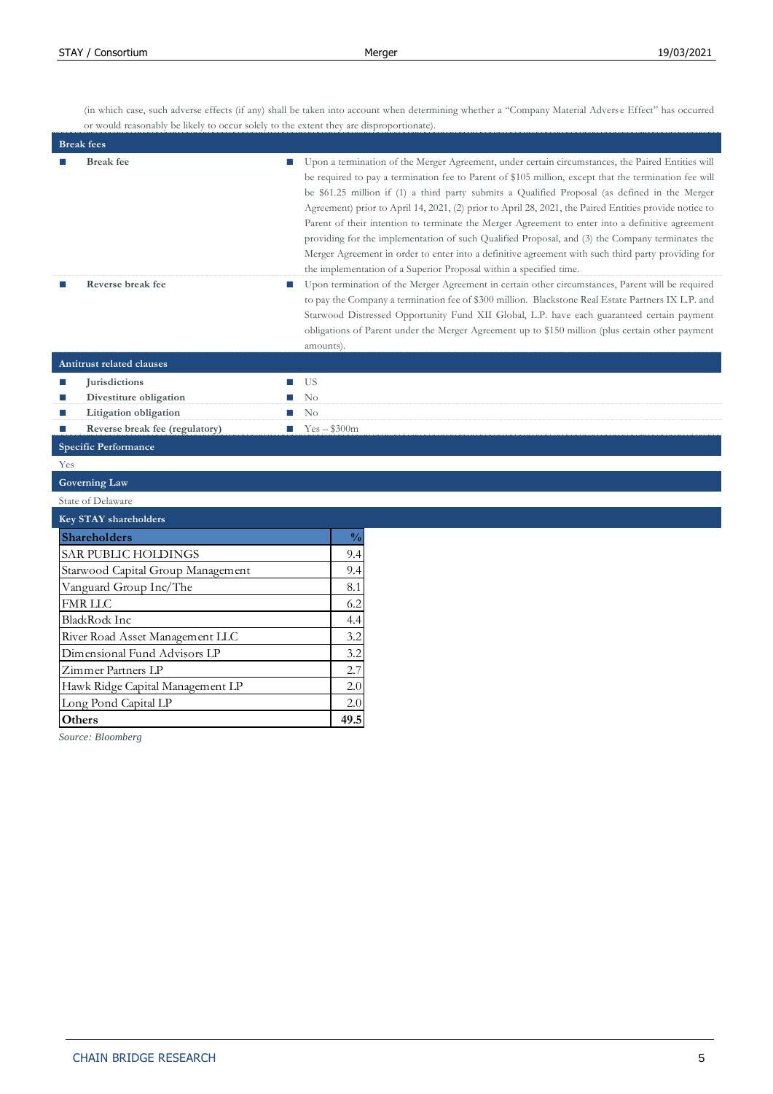(in which case, such adverse effects (if any) shall be taken into account when determining whether a "Company Material Advers e Effect" has occurred or would reasonably be likely to occur solely to the extent they are disproportionate).

| <b>Break</b> fee<br>Upon a termination of the Merger Agreement, under certain circumstances, the Paired Entities will<br>be required to pay a termination fee to Parent of \$105 million, except that the termination fee will<br>be \$61.25 million if (1) a third party submits a Qualified Proposal (as defined in the Merger<br>Agreement) prior to April 14, 2021, (2) prior to April 28, 2021, the Paired Entities provide notice to<br>Parent of their intention to terminate the Merger Agreement to enter into a definitive agreement<br>providing for the implementation of such Qualified Proposal, and (3) the Company terminates the<br>Merger Agreement in order to enter into a definitive agreement with such third party providing for<br>the implementation of a Superior Proposal within a specified time.<br>Reverse break fee<br>Upon termination of the Merger Agreement in certain other circumstances, Parent will be required<br>T.<br>to pay the Company a termination fee of \$300 million. Blackstone Real Estate Partners IX L.P. and<br>Starwood Distressed Opportunity Fund XII Global, L.P. have each guaranteed certain payment<br>obligations of Parent under the Merger Agreement up to \$150 million (plus certain other payment<br>amounts).<br><b>Antitrust related clauses</b><br><b>Jurisdictions</b><br>US<br>П<br>П<br>Divestiture obligation<br>$\rm No$<br>п<br>П<br>No<br>Litigation obligation<br>П<br>ш<br>Reverse break fee (regulatory)<br>$Yes - $300m$<br>п<br>m.<br><b>Specific Performance</b><br>Yes<br><b>Governing Law</b><br>State of Delaware<br><b>Key STAY shareholders</b><br>$\frac{0}{0}$<br>Shareholders<br>9.4<br>SAR PUBLIC HOLDINGS<br>9.4<br>Starwood Capital Group Management<br>8.1<br>Vanguard Group Inc/The<br><b>FMR LLC</b><br>6.2<br><b>BlackRock Inc</b><br>4.4<br>River Road Asset Management LLC<br>3.2<br>Dimensional Fund Advisors LP<br>3.2<br>Zimmer Partners LP<br>2.7<br>Hawk Ridge Capital Management LP<br>2.0<br>Long Pond Capital LP<br>2.0<br>49.5<br>Others | <b>Break</b> fees |  |
|-------------------------------------------------------------------------------------------------------------------------------------------------------------------------------------------------------------------------------------------------------------------------------------------------------------------------------------------------------------------------------------------------------------------------------------------------------------------------------------------------------------------------------------------------------------------------------------------------------------------------------------------------------------------------------------------------------------------------------------------------------------------------------------------------------------------------------------------------------------------------------------------------------------------------------------------------------------------------------------------------------------------------------------------------------------------------------------------------------------------------------------------------------------------------------------------------------------------------------------------------------------------------------------------------------------------------------------------------------------------------------------------------------------------------------------------------------------------------------------------------------------------------------------------------------------------------------------------------------------------------------------------------------------------------------------------------------------------------------------------------------------------------------------------------------------------------------------------------------------------------------------------------------------------------------------------------------------------------------------------------------------------------------------------------------|-------------------|--|
|                                                                                                                                                                                                                                                                                                                                                                                                                                                                                                                                                                                                                                                                                                                                                                                                                                                                                                                                                                                                                                                                                                                                                                                                                                                                                                                                                                                                                                                                                                                                                                                                                                                                                                                                                                                                                                                                                                                                                                                                                                                       |                   |  |
|                                                                                                                                                                                                                                                                                                                                                                                                                                                                                                                                                                                                                                                                                                                                                                                                                                                                                                                                                                                                                                                                                                                                                                                                                                                                                                                                                                                                                                                                                                                                                                                                                                                                                                                                                                                                                                                                                                                                                                                                                                                       |                   |  |
|                                                                                                                                                                                                                                                                                                                                                                                                                                                                                                                                                                                                                                                                                                                                                                                                                                                                                                                                                                                                                                                                                                                                                                                                                                                                                                                                                                                                                                                                                                                                                                                                                                                                                                                                                                                                                                                                                                                                                                                                                                                       |                   |  |
|                                                                                                                                                                                                                                                                                                                                                                                                                                                                                                                                                                                                                                                                                                                                                                                                                                                                                                                                                                                                                                                                                                                                                                                                                                                                                                                                                                                                                                                                                                                                                                                                                                                                                                                                                                                                                                                                                                                                                                                                                                                       |                   |  |
|                                                                                                                                                                                                                                                                                                                                                                                                                                                                                                                                                                                                                                                                                                                                                                                                                                                                                                                                                                                                                                                                                                                                                                                                                                                                                                                                                                                                                                                                                                                                                                                                                                                                                                                                                                                                                                                                                                                                                                                                                                                       |                   |  |
|                                                                                                                                                                                                                                                                                                                                                                                                                                                                                                                                                                                                                                                                                                                                                                                                                                                                                                                                                                                                                                                                                                                                                                                                                                                                                                                                                                                                                                                                                                                                                                                                                                                                                                                                                                                                                                                                                                                                                                                                                                                       |                   |  |
|                                                                                                                                                                                                                                                                                                                                                                                                                                                                                                                                                                                                                                                                                                                                                                                                                                                                                                                                                                                                                                                                                                                                                                                                                                                                                                                                                                                                                                                                                                                                                                                                                                                                                                                                                                                                                                                                                                                                                                                                                                                       |                   |  |
|                                                                                                                                                                                                                                                                                                                                                                                                                                                                                                                                                                                                                                                                                                                                                                                                                                                                                                                                                                                                                                                                                                                                                                                                                                                                                                                                                                                                                                                                                                                                                                                                                                                                                                                                                                                                                                                                                                                                                                                                                                                       |                   |  |
|                                                                                                                                                                                                                                                                                                                                                                                                                                                                                                                                                                                                                                                                                                                                                                                                                                                                                                                                                                                                                                                                                                                                                                                                                                                                                                                                                                                                                                                                                                                                                                                                                                                                                                                                                                                                                                                                                                                                                                                                                                                       |                   |  |
|                                                                                                                                                                                                                                                                                                                                                                                                                                                                                                                                                                                                                                                                                                                                                                                                                                                                                                                                                                                                                                                                                                                                                                                                                                                                                                                                                                                                                                                                                                                                                                                                                                                                                                                                                                                                                                                                                                                                                                                                                                                       |                   |  |
|                                                                                                                                                                                                                                                                                                                                                                                                                                                                                                                                                                                                                                                                                                                                                                                                                                                                                                                                                                                                                                                                                                                                                                                                                                                                                                                                                                                                                                                                                                                                                                                                                                                                                                                                                                                                                                                                                                                                                                                                                                                       |                   |  |
|                                                                                                                                                                                                                                                                                                                                                                                                                                                                                                                                                                                                                                                                                                                                                                                                                                                                                                                                                                                                                                                                                                                                                                                                                                                                                                                                                                                                                                                                                                                                                                                                                                                                                                                                                                                                                                                                                                                                                                                                                                                       |                   |  |
|                                                                                                                                                                                                                                                                                                                                                                                                                                                                                                                                                                                                                                                                                                                                                                                                                                                                                                                                                                                                                                                                                                                                                                                                                                                                                                                                                                                                                                                                                                                                                                                                                                                                                                                                                                                                                                                                                                                                                                                                                                                       |                   |  |
|                                                                                                                                                                                                                                                                                                                                                                                                                                                                                                                                                                                                                                                                                                                                                                                                                                                                                                                                                                                                                                                                                                                                                                                                                                                                                                                                                                                                                                                                                                                                                                                                                                                                                                                                                                                                                                                                                                                                                                                                                                                       |                   |  |
|                                                                                                                                                                                                                                                                                                                                                                                                                                                                                                                                                                                                                                                                                                                                                                                                                                                                                                                                                                                                                                                                                                                                                                                                                                                                                                                                                                                                                                                                                                                                                                                                                                                                                                                                                                                                                                                                                                                                                                                                                                                       |                   |  |
|                                                                                                                                                                                                                                                                                                                                                                                                                                                                                                                                                                                                                                                                                                                                                                                                                                                                                                                                                                                                                                                                                                                                                                                                                                                                                                                                                                                                                                                                                                                                                                                                                                                                                                                                                                                                                                                                                                                                                                                                                                                       |                   |  |
|                                                                                                                                                                                                                                                                                                                                                                                                                                                                                                                                                                                                                                                                                                                                                                                                                                                                                                                                                                                                                                                                                                                                                                                                                                                                                                                                                                                                                                                                                                                                                                                                                                                                                                                                                                                                                                                                                                                                                                                                                                                       |                   |  |
|                                                                                                                                                                                                                                                                                                                                                                                                                                                                                                                                                                                                                                                                                                                                                                                                                                                                                                                                                                                                                                                                                                                                                                                                                                                                                                                                                                                                                                                                                                                                                                                                                                                                                                                                                                                                                                                                                                                                                                                                                                                       |                   |  |
|                                                                                                                                                                                                                                                                                                                                                                                                                                                                                                                                                                                                                                                                                                                                                                                                                                                                                                                                                                                                                                                                                                                                                                                                                                                                                                                                                                                                                                                                                                                                                                                                                                                                                                                                                                                                                                                                                                                                                                                                                                                       |                   |  |
|                                                                                                                                                                                                                                                                                                                                                                                                                                                                                                                                                                                                                                                                                                                                                                                                                                                                                                                                                                                                                                                                                                                                                                                                                                                                                                                                                                                                                                                                                                                                                                                                                                                                                                                                                                                                                                                                                                                                                                                                                                                       |                   |  |
|                                                                                                                                                                                                                                                                                                                                                                                                                                                                                                                                                                                                                                                                                                                                                                                                                                                                                                                                                                                                                                                                                                                                                                                                                                                                                                                                                                                                                                                                                                                                                                                                                                                                                                                                                                                                                                                                                                                                                                                                                                                       |                   |  |
|                                                                                                                                                                                                                                                                                                                                                                                                                                                                                                                                                                                                                                                                                                                                                                                                                                                                                                                                                                                                                                                                                                                                                                                                                                                                                                                                                                                                                                                                                                                                                                                                                                                                                                                                                                                                                                                                                                                                                                                                                                                       |                   |  |
|                                                                                                                                                                                                                                                                                                                                                                                                                                                                                                                                                                                                                                                                                                                                                                                                                                                                                                                                                                                                                                                                                                                                                                                                                                                                                                                                                                                                                                                                                                                                                                                                                                                                                                                                                                                                                                                                                                                                                                                                                                                       |                   |  |
|                                                                                                                                                                                                                                                                                                                                                                                                                                                                                                                                                                                                                                                                                                                                                                                                                                                                                                                                                                                                                                                                                                                                                                                                                                                                                                                                                                                                                                                                                                                                                                                                                                                                                                                                                                                                                                                                                                                                                                                                                                                       |                   |  |

*Source: Bloomberg*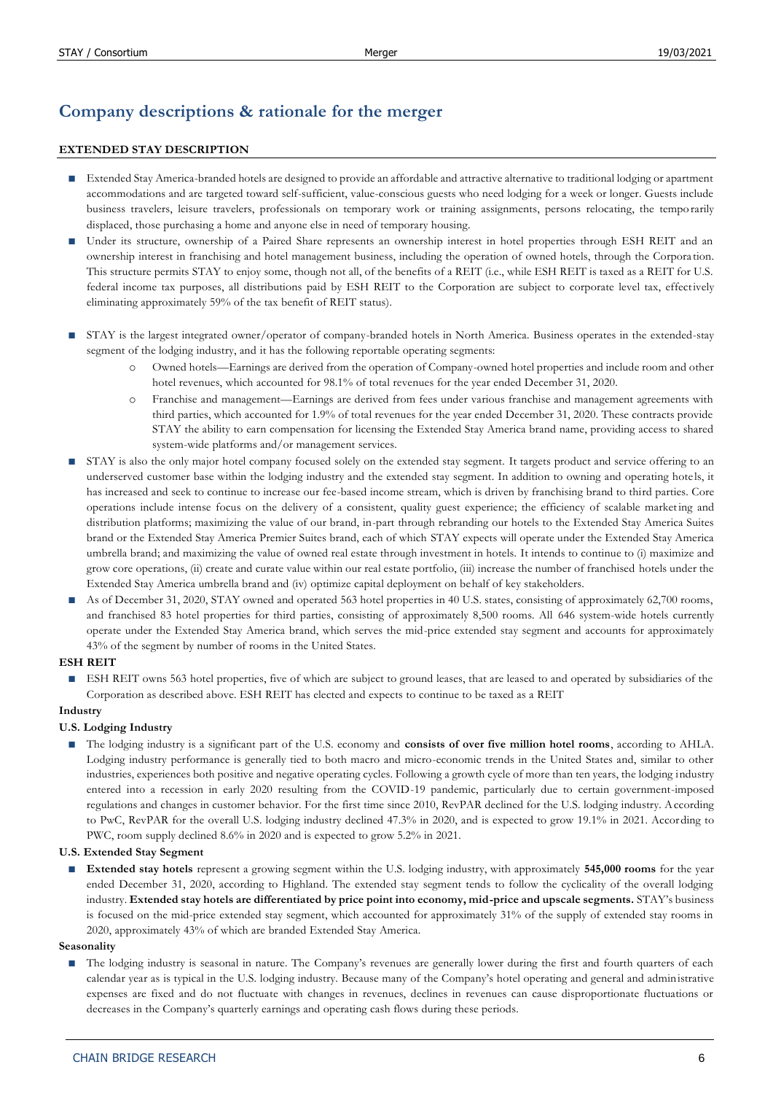# **Company descriptions & rationale for the merger**

## **EXTENDED STAY DESCRIPTION**

- **■** Extended Stay America-branded hotels are designed to provide an affordable and attractive alternative to traditional lodging or apartment accommodations and are targeted toward self-sufficient, value-conscious guests who need lodging for a week or longer. Guests include business travelers, leisure travelers, professionals on temporary work or training assignments, persons relocating, the tempo rarily displaced, those purchasing a home and anyone else in need of temporary housing.
- Under its structure, ownership of a Paired Share represents an ownership interest in hotel properties through ESH REIT and an ownership interest in franchising and hotel management business, including the operation of owned hotels, through the Corpora tion. This structure permits STAY to enjoy some, though not all, of the benefits of a REIT (i.e., while ESH REIT is taxed as a REIT for U.S. federal income tax purposes, all distributions paid by ESH REIT to the Corporation are subject to corporate level tax, effectively eliminating approximately 59% of the tax benefit of REIT status).
- STAY is the largest integrated owner/operator of company-branded hotels in North America. Business operates in the extended-stay segment of the lodging industry, and it has the following reportable operating segments:
	- o Owned hotels—Earnings are derived from the operation of Company-owned hotel properties and include room and other hotel revenues, which accounted for 98.1% of total revenues for the year ended December 31, 2020.
	- o Franchise and management—Earnings are derived from fees under various franchise and management agreements with third parties, which accounted for 1.9% of total revenues for the year ended December 31, 2020. These contracts provide STAY the ability to earn compensation for licensing the Extended Stay America brand name, providing access to shared system-wide platforms and/or management services.
- STAY is also the only major hotel company focused solely on the extended stay segment. It targets product and service offering to an underserved customer base within the lodging industry and the extended stay segment. In addition to owning and operating hotels, it has increased and seek to continue to increase our fee-based income stream, which is driven by franchising brand to third parties. Core operations include intense focus on the delivery of a consistent, quality guest experience; the efficiency of scalable marketing and distribution platforms; maximizing the value of our brand, in-part through rebranding our hotels to the Extended Stay America Suites brand or the Extended Stay America Premier Suites brand, each of which STAY expects will operate under the Extended Stay America umbrella brand; and maximizing the value of owned real estate through investment in hotels. It intends to continue to (i) maximize and grow core operations, (ii) create and curate value within our real estate portfolio, (iii) increase the number of franchised hotels under the Extended Stay America umbrella brand and (iv) optimize capital deployment on behalf of key stakeholders.
- As of December 31, 2020, STAY owned and operated 563 hotel properties in 40 U.S. states, consisting of approximately 62,700 rooms, and franchised 83 hotel properties for third parties, consisting of approximately 8,500 rooms. All 646 system-wide hotels currently operate under the Extended Stay America brand, which serves the mid-price extended stay segment and accounts for approximately 43% of the segment by number of rooms in the United States.

## **ESH REIT**

ESH REIT owns 563 hotel properties, five of which are subject to ground leases, that are leased to and operated by subsidiaries of the Corporation as described above. ESH REIT has elected and expects to continue to be taxed as a REIT

## **Industry**

## **U.S. Lodging Industry**

**■** The lodging industry is a significant part of the U.S. economy and **consists of over five million hotel rooms**, according to AHLA. Lodging industry performance is generally tied to both macro and micro-economic trends in the United States and, similar to other industries, experiences both positive and negative operating cycles. Following a growth cycle of more than ten years, the lodging industry entered into a recession in early 2020 resulting from the COVID-19 pandemic, particularly due to certain government-imposed regulations and changes in customer behavior. For the first time since 2010, RevPAR declined for the U.S. lodging industry. According to PwC, RevPAR for the overall U.S. lodging industry declined 47.3% in 2020, and is expected to grow 19.1% in 2021. According to PWC, room supply declined 8.6% in 2020 and is expected to grow 5.2% in 2021.

#### **U.S. Extended Stay Segment**

■ **Extended stay hotels** represent a growing segment within the U.S. lodging industry, with approximately **545,000 rooms** for the year ended December 31, 2020, according to Highland. The extended stay segment tends to follow the cyclicality of the overall lodging industry. **Extended stay hotels are differentiated by price point into economy, mid-price and upscale segments.** STAY's business is focused on the mid-price extended stay segment, which accounted for approximately 31% of the supply of extended stay rooms in 2020, approximately 43% of which are branded Extended Stay America.

#### **Seasonality**

■ The lodging industry is seasonal in nature. The Company's revenues are generally lower during the first and fourth quarters of each calendar year as is typical in the U.S. lodging industry. Because many of the Company's hotel operating and general and administrative expenses are fixed and do not fluctuate with changes in revenues, declines in revenues can cause disproportionate fluctuations or decreases in the Company's quarterly earnings and operating cash flows during these periods.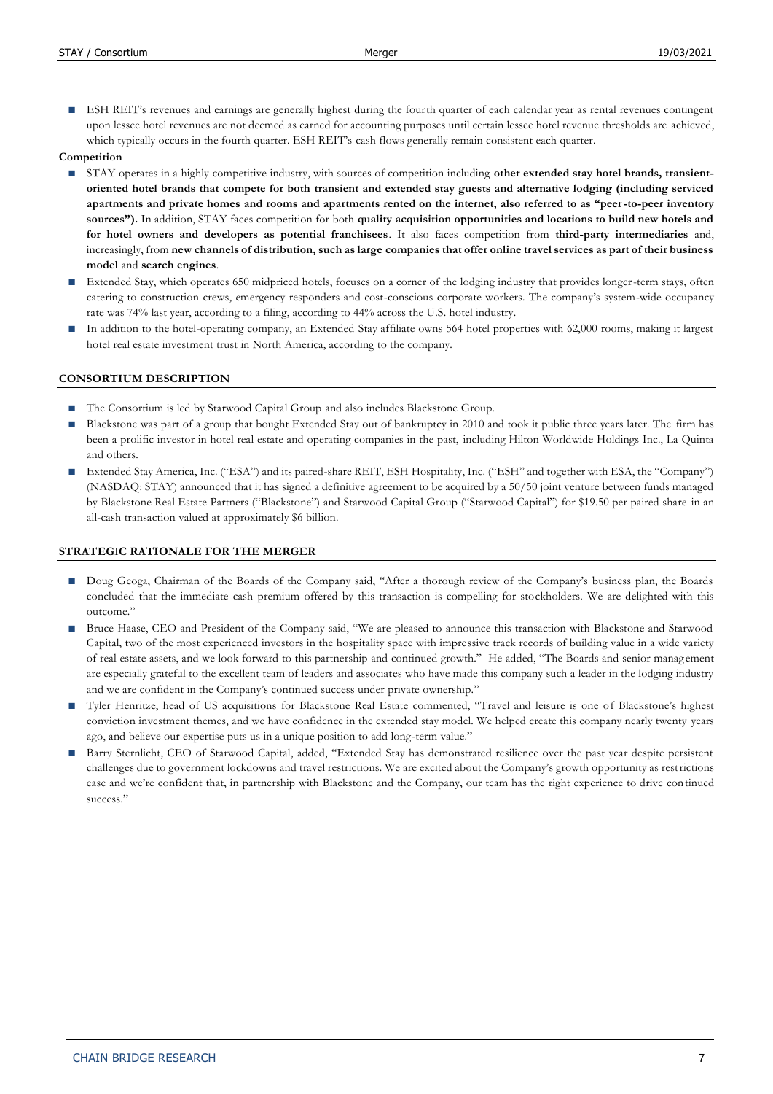ESH REIT's revenues and earnings are generally highest during the fourth quarter of each calendar year as rental revenues contingent upon lessee hotel revenues are not deemed as earned for accounting purposes until certain lessee hotel revenue thresholds are achieved, which typically occurs in the fourth quarter. ESH REIT's cash flows generally remain consistent each quarter.

### **Competition**

- STAY operates in a highly competitive industry, with sources of competition including **other extended stay hotel brands, transientoriented hotel brands that compete for both transient and extended stay guests and alternative lodging (including serviced apartments and private homes and rooms and apartments rented on the internet, also referred to as "peer-to-peer inventory sources").** In addition, STAY faces competition for both **quality acquisition opportunities and locations to build new hotels and for hotel owners and developers as potential franchisees**. It also faces competition from **third-party intermediaries** and, increasingly, from **new channels of distribution, such as large companies that offer online travel services as part of their business model** and **search engines**.
- Extended Stay, which operates 650 midpriced hotels, focuses on a corner of the lodging industry that provides longer-term stays, often catering to construction crews, emergency responders and cost-conscious corporate workers. The company's system-wide occupancy rate was 74% last year, according to a filing, according to 44% across the U.S. hotel industry.
- In addition to the hotel-operating company, an Extended Stay affiliate owns 564 hotel properties with 62,000 rooms, making it largest hotel real estate investment trust in North America, according to the company.

### **CONSORTIUM DESCRIPTION**

- The Consortium is led by Starwood Capital Group and also includes Blackstone Group.
- Blackstone was part of a group that bought Extended Stay out of bankruptcy in 2010 and took it public three years later. The firm has been a prolific investor in hotel real estate and operating companies in the past, including Hilton Worldwide Holdings Inc., La Quinta and others.
- Extended Stay America, Inc. ("ESA") and its paired-share REIT, ESH Hospitality, Inc. ("ESH" and together with ESA, the "Company") (NASDAQ: STAY) announced that it has signed a definitive agreement to be acquired by a 50/50 joint venture between funds managed by Blackstone Real Estate Partners ("Blackstone") and Starwood Capital Group ("Starwood Capital") for \$19.50 per paired share in an all-cash transaction valued at approximately \$6 billion.

## **STRATEG**I**C RATIONALE FOR THE MERGER**

- **■** Doug Geoga, Chairman of the Boards of the Company said, "After a thorough review of the Company's business plan, the Boards concluded that the immediate cash premium offered by this transaction is compelling for stockholders. We are delighted with this outcome."
- Bruce Haase, CEO and President of the Company said, "We are pleased to announce this transaction with Blackstone and Starwood Capital, two of the most experienced investors in the hospitality space with impressive track records of building value in a wide variety of real estate assets, and we look forward to this partnership and continued growth." He added, "The Boards and senior manag ement are especially grateful to the excellent team of leaders and associates who have made this company such a leader in the lodging industry and we are confident in the Company's continued success under private ownership."
- Tyler Henritze, head of US acquisitions for Blackstone Real Estate commented, "Travel and leisure is one of Blackstone's highest conviction investment themes, and we have confidence in the extended stay model. We helped create this company nearly twenty years ago, and believe our expertise puts us in a unique position to add long-term value."
- Barry Sternlicht, CEO of Starwood Capital, added, "Extended Stay has demonstrated resilience over the past year despite persistent challenges due to government lockdowns and travel restrictions. We are excited about the Company's growth opportunity as restrictions ease and we're confident that, in partnership with Blackstone and the Company, our team has the right experience to drive continued success."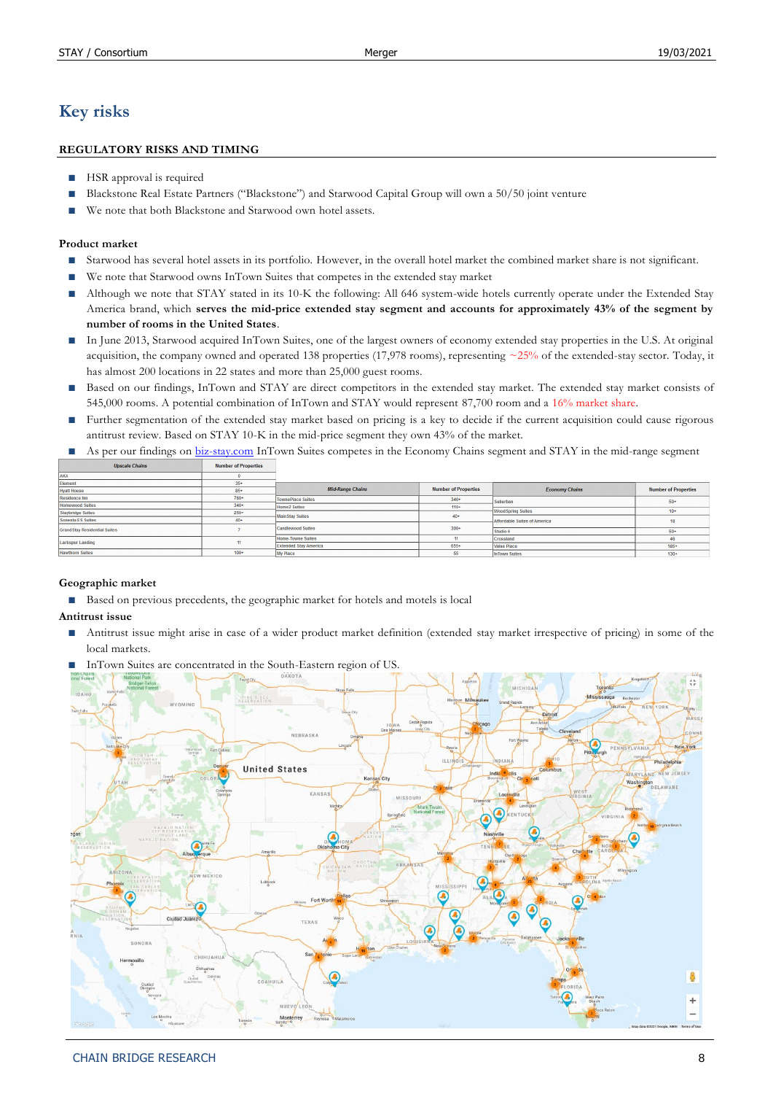# **Key risks**

## **REGULATORY RISKS AND TIMING**

- **HSR** approval is required
- Blackstone Real Estate Partners ("Blackstone") and Starwood Capital Group will own a 50/50 joint venture
- We note that both Blackstone and Starwood own hotel assets.

### **Product market**

- Starwood has several hotel assets in its portfolio. However, in the overall hotel market the combined market share is not significant.
- We note that Starwood owns InTown Suites that competes in the extended stay market
- Although we note that STAY stated in its 10-K the following: All 646 system-wide hotels currently operate under the Extended Stay America brand, which **serves the mid-price extended stay segment and accounts for approximately 43% of the segment by number of rooms in the United States**.
- In June 2013, Starwood acquired InTown Suites, one of the largest owners of economy extended stay properties in the U.S. At original acquisition, the company owned and operated 138 properties (17,978 rooms), representing  $\sim$ 25% of the extended-stay sector. Today, it has almost 200 locations in 22 states and more than 25,000 guest rooms.
- Based on our findings, InTown and STAY are direct competitors in the extended stay market. The extended stay market consists of 545,000 rooms. A potential combination of InTown and STAY would represent 87,700 room and a 16% market share.
- Further segmentation of the extended stay market based on pricing is a key to decide if the current acquisition could cause rigorous antitrust review. Based on STAY 10-K in the mid-price segment they own 43% of the market.
- As per our findings on [biz-stay.com](https://www.biz-stay.com/resources/extendedstaychains.cfm) InTown Suites competes in the Economy Chains segment and STAY in the mid-range segment

| <b>Upscale Chains</b> | <b>Number of Properties</b> |  |
|-----------------------|-----------------------------|--|
|                       |                             |  |

| Element                              | $35+$  |                              |                             |                              |                             |  |
|--------------------------------------|--------|------------------------------|-----------------------------|------------------------------|-----------------------------|--|
|                                      |        | <b>Mid-Range Chains</b>      | <b>Number of Properties</b> | <b>Economy Chains</b>        | <b>Number of Properties</b> |  |
| <b>Hyatt House</b>                   | $85+$  |                              |                             |                              |                             |  |
| <b>Residence Inn</b>                 | $760+$ | <b>TownePlace Suites</b>     | $340+$                      | Suburban                     | $50+$                       |  |
| <b>Homewood Suites</b>               | $340+$ | <b>Home2 Suites</b>          | $110+$                      |                              |                             |  |
| <b>Staybridge Suites</b>             | $250+$ |                              |                             | <b>Wood Spring Suites</b>    | $10+$                       |  |
| Sonesta ES Suites                    | $40+$  | <b>Main Stay Suites</b>      | $40+$                       | Affordable Suites of America | 18                          |  |
|                                      |        | <b>Candlewood Suites</b>     | $300+$                      |                              |                             |  |
| <b>Grand Stay Residential Suites</b> |        |                              |                             | Studio 6                     | $50+$                       |  |
|                                      |        | <b>Home-Towne Suites</b>     |                             | Crossland                    | 46                          |  |
| <b>Larkspur Landing</b>              | 11     | <b>Extended Stav America</b> | $655+$                      | <b>Value Place</b>           | $185+$                      |  |
| <b>Hawthorn Suites</b>               | $100+$ | <b>My Place</b>              | 55                          | <b>InTown Suites</b>         | $130+$                      |  |

## **Geographic market**

■ Based on previous precedents, the geographic market for hotels and motels is local

#### **Antitrust issue**

■ Antitrust issue might arise in case of a wider product market definition (extended stay market irrespective of pricing) in some of the local markets.



**■** InTown Suites are concentrated in the South-Eastern region of US.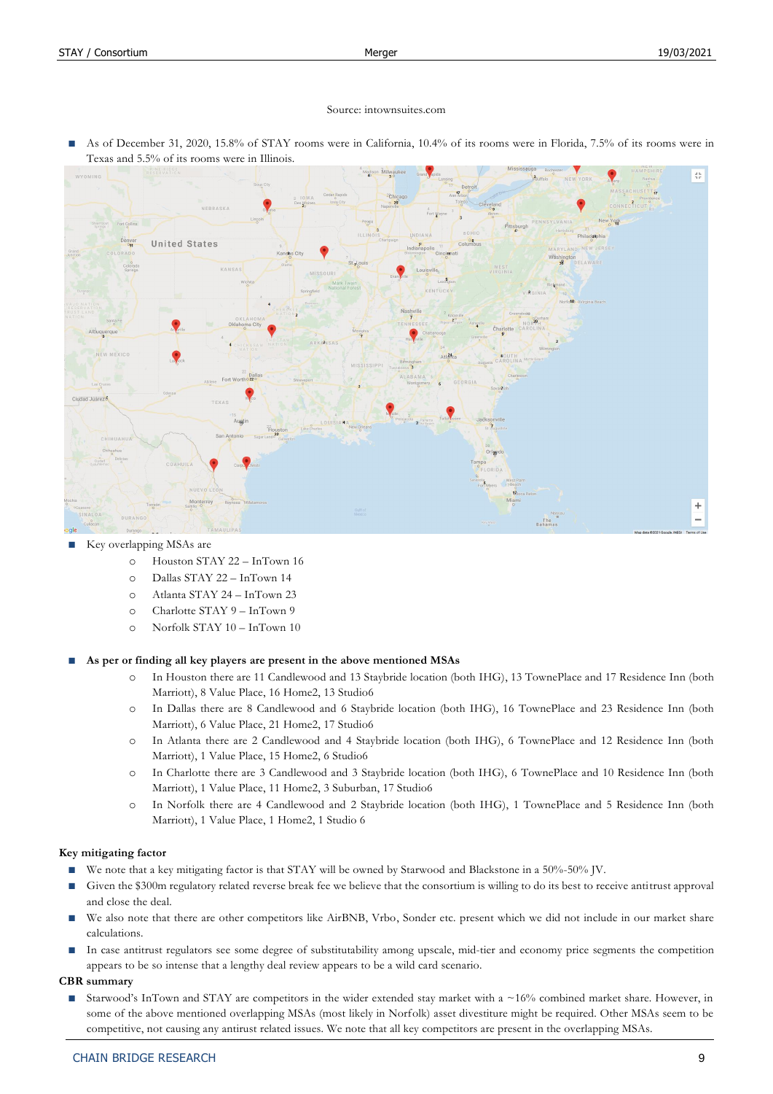#### Source: intownsuites.com

As of December 31, 2020, 15.8% of STAY rooms were in California, 10.4% of its rooms were in Florida, 7.5% of its rooms were in Texas and 5.5% of its rooms were in Illinois.



#### **■** Key overlapping MSAs are

- o Houston STAY 22 InTown 16
- o Dallas STAY 22 InTown 14
- o Atlanta STAY 24 InTown 23
- o Charlotte STAY 9 InTown 9
- o Norfolk STAY 10 InTown 10

**■ As per or finding all key players are present in the above mentioned MSAs**

- o In Houston there are 11 Candlewood and 13 Staybride location (both IHG), 13 TownePlace and 17 Residence Inn (both Marriott), 8 Value Place, 16 Home2, 13 Studio6
- o In Dallas there are 8 Candlewood and 6 Staybride location (both IHG), 16 TownePlace and 23 Residence Inn (both Marriott), 6 Value Place, 21 Home2, 17 Studio6
- o In Atlanta there are 2 Candlewood and 4 Staybride location (both IHG), 6 TownePlace and 12 Residence Inn (both Marriott), 1 Value Place, 15 Home2, 6 Studio6
- o In Charlotte there are 3 Candlewood and 3 Staybride location (both IHG), 6 TownePlace and 10 Residence Inn (both Marriott), 1 Value Place, 11 Home2, 3 Suburban, 17 Studio6
- o In Norfolk there are 4 Candlewood and 2 Staybride location (both IHG), 1 TownePlace and 5 Residence Inn (both Marriott), 1 Value Place, 1 Home2, 1 Studio 6

#### **Key mitigating factor**

- We note that a key mitigating factor is that STAY will be owned by Starwood and Blackstone in a 50%-50% JV.
- Given the \$300m regulatory related reverse break fee we believe that the consortium is willing to do its best to receive antitrust approval and close the deal.
- We also note that there are other competitors like AirBNB, Vrbo, Sonder etc. present which we did not include in our market share calculations.
- In case antitrust regulators see some degree of substitutability among upscale, mid-tier and economy price segments the competition appears to be so intense that a lengthy deal review appears to be a wild card scenario.

## **CBR summary**

■ Starwood's InTown and STAY are competitors in the wider extended stay market with a ~16% combined market share. However, in some of the above mentioned overlapping MSAs (most likely in Norfolk) asset divestiture might be required. Other MSAs seem to be competitive, not causing any antirust related issues. We note that all key competitors are present in the overlapping MSAs.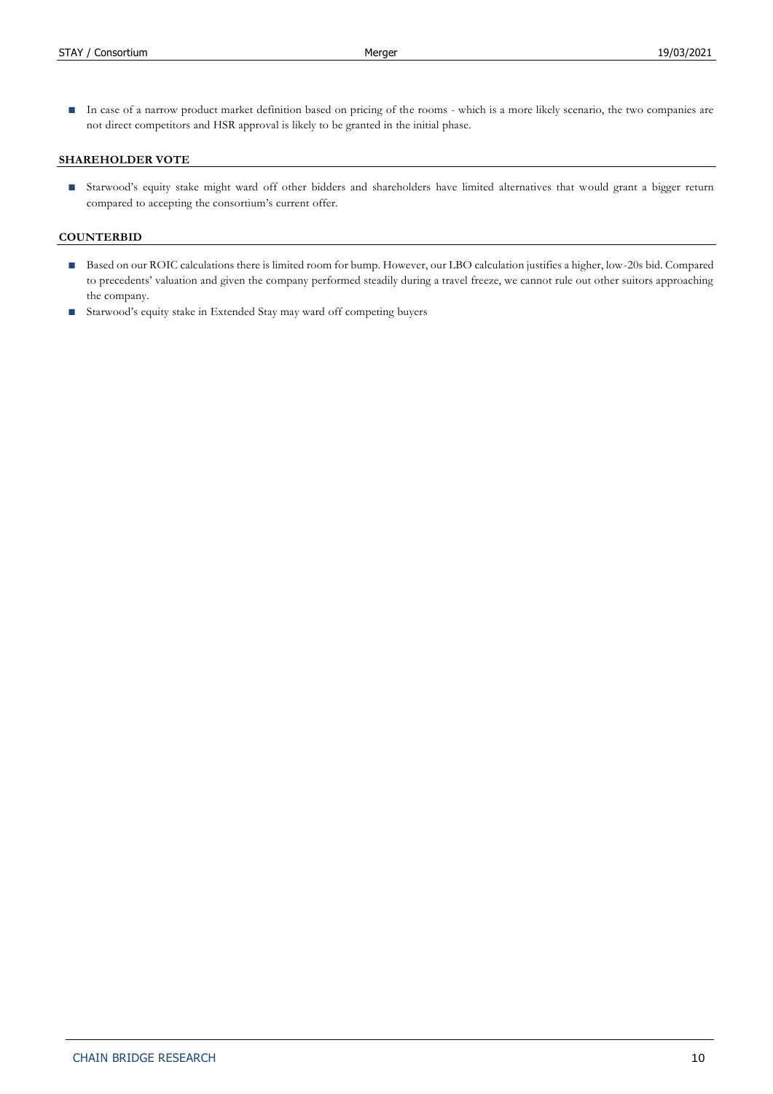■ In case of a narrow product market definition based on pricing of the rooms - which is a more likely scenario, the two companies are not direct competitors and HSR approval is likely to be granted in the initial phase.

#### **SHAREHOLDER VOTE**

**■** Starwood's equity stake might ward off other bidders and shareholders have limited alternatives that would grant a bigger return compared to accepting the consortium's current offer.

#### **COUNTERBID**

- Based on our ROIC calculations there is limited room for bump. However, our LBO calculation justifies a higher, low-20s bid. Compared to precedents' valuation and given the company performed steadily during a travel freeze, we cannot rule out other suitors approaching the company.
- Starwood's equity stake in Extended Stay may ward off competing buyers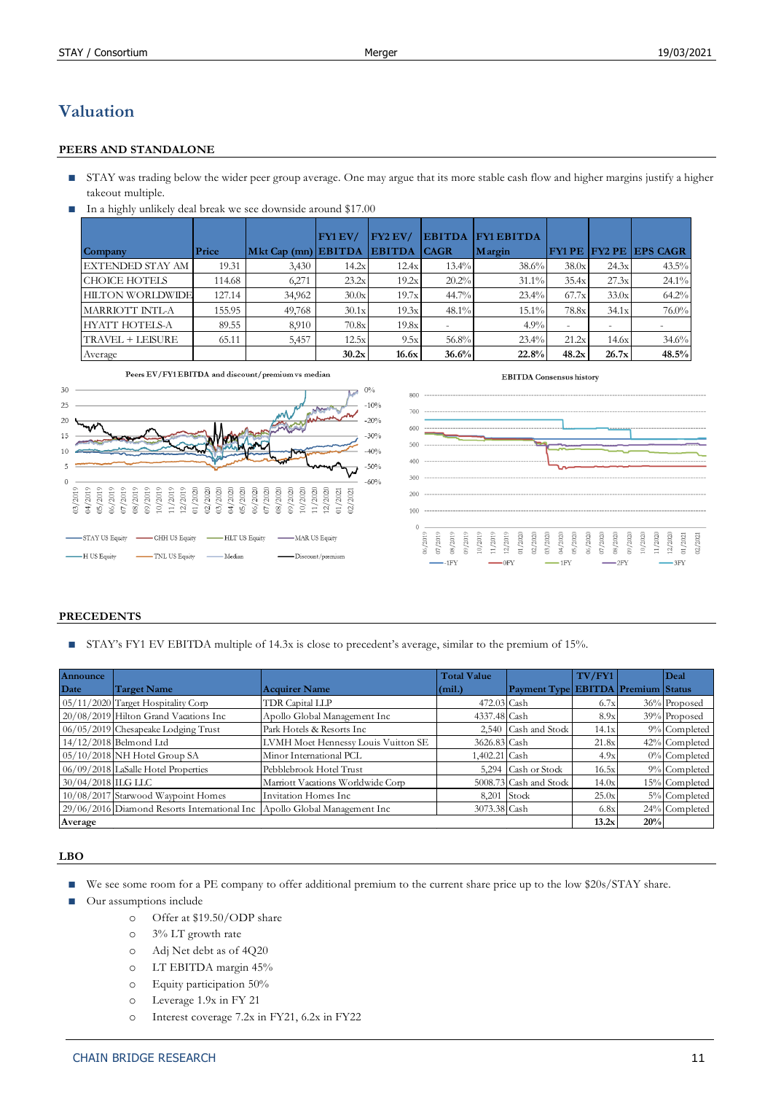# **Valuation**

## **PEERS AND STANDALONE**

- STAY was trading below the wider peer group average. One may argue that its more stable cash flow and higher margins justify a higher takeout multiple.
- In a highly unlikely deal break we see downside around \$17.00

|                         |        |                       | FY1EV/ | $FY2$ EV/     | <b>EBITDA</b> | <b>FY1 EBITDA</b> |       |       |                                 |
|-------------------------|--------|-----------------------|--------|---------------|---------------|-------------------|-------|-------|---------------------------------|
| Company                 | Price  | $Mkt Cap (mn)$ EBITDA |        | <b>EBITDA</b> | <b>CAGR</b>   | Margin            |       |       | <b>FY1 PE IFY2 PE IEPS CAGR</b> |
| EXTENDED STAY AM        | 19.31  | 3,430                 | 14.2x  | 12.4x         | $13.4\%$      | 38.6%             | 38.0x | 24.3x | $43.5\%$                        |
| <b>CHOICE HOTELS</b>    | 114.68 | 6,271                 | 23.2x  | 19.2x         | 20.2%         | $31.1\%$          | 35.4x | 27.3x | $24.1\%$                        |
| <b>HILTON WORLDWIDE</b> | 127.14 | 34,962                | 30.0x  | 19.7x         | 44.7%         | 23.4%             | 67.7x | 33.0x | 64.2%                           |
| MARRIOTT INTL-A         | 155.95 | 49,768                | 30.1x  | 19.3x         | 48.1%         | $15.1\%$          | 78.8x | 34.1x | 76.0%                           |
| <b>HYATT HOTELS-A</b>   | 89.55  | 8,910                 | 70.8x  | 19.8x         |               | 4.9%              |       |       |                                 |
| TRAVEL + LEISURE        | 65.11  | 5,457                 | 12.5x  | 9.5x          | 56.8%         | 23.4%             | 21.2x | 14.6x | 34.6%                           |
| Average                 |        |                       | 30.2x  | 16.6x         | 36.6%         | 22.8%             | 48.2x | 26.7x | 48.5%                           |



#### **PRECEDENTS**

■ STAY's FY1 EV EBITDA multiple of 14.3x is close to precedent's average, similar to the premium of 15%.

| Announce           |                                                                           |                                     | <b>Total Value</b> |                                           | TV/FY1 |     | Deal            |
|--------------------|---------------------------------------------------------------------------|-------------------------------------|--------------------|-------------------------------------------|--------|-----|-----------------|
| Date               | Target Name                                                               | <b>Acquirer Name</b>                | (min.)             | <b>Payment Type EBITDA Premium Status</b> |        |     |                 |
|                    | 05/11/2020 Target Hospitality Corp                                        | TDR Capital LLP                     | 472.03 Cash        |                                           | 6.7x   |     | 36% Proposed    |
|                    | 20/08/2019 Hilton Grand Vacations Inc                                     | Apollo Global Management Inc        | 4337.48 Cash       |                                           | 8.9x   |     | 39% Proposed    |
|                    | 06/05/2019 Chesapeake Lodging Trust                                       | Park Hotels & Resorts Inc.          |                    | 2,540 Cash and Stock                      | 14.1x  |     | 9% Completed    |
|                    | 14/12/2018 Belmond Ltd                                                    | LVMH Moet Hennessy Louis Vuitton SE | 3626.83 Cash       |                                           | 21.8x  |     | 42% Completed   |
|                    | 05/10/2018 NH Hotel Group SA                                              | Minor International PCL             | 1,402.21 Cash      |                                           | 4.9x   |     | $0\%$ Completed |
|                    | 06/09/2018 LaSalle Hotel Properties                                       | Pebblebrook Hotel Trust             |                    | 5,294 Cash or Stock                       | 16.5x  |     | 9% Completed    |
| 30/04/2018 ILG LLC |                                                                           | Marriott Vacations Worldwide Corp   |                    | 5008.73 Cash and Stock                    | 14.0x  |     | 15% Completed   |
|                    | 10/08/2017 Starwood Waypoint Homes                                        | Invitation Homes Inc.               | $8,201$ Stock      |                                           | 25.0x  |     | 5% Completed    |
|                    | 29/06/2016 Diamond Resorts International Inc Apollo Global Management Inc |                                     | 3073.38 Cash       |                                           | 6.8x   |     | 24% Completed   |
| Average            |                                                                           |                                     |                    |                                           | 13.2x  | 20% |                 |

#### **LBO**

- We see some room for a PE company to offer additional premium to the current share price up to the low \$20s/STAY share.
- Our assumptions include
	- o Offer at \$19.50/ODP share
	- o 3% LT growth rate
	- o Adj Net debt as of 4Q20
	- o LT EBITDA margin 45%
	- o Equity participation 50%
	- o Leverage 1.9x in FY 21
	-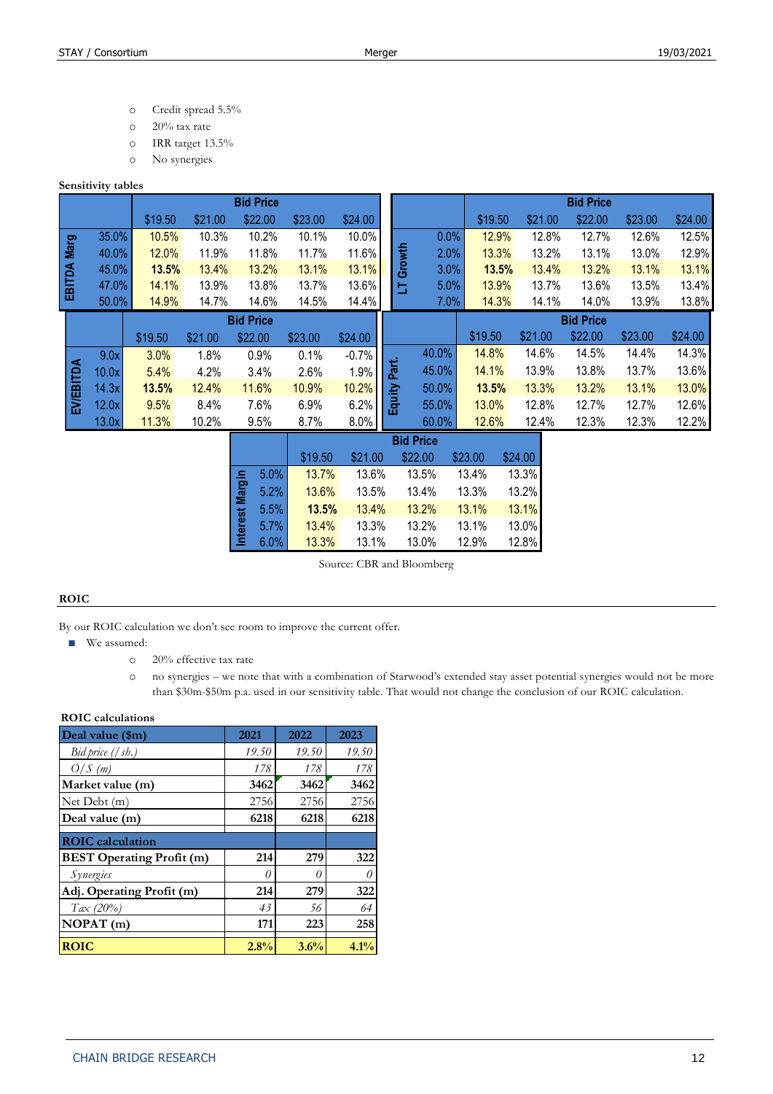- o Credit spread 5.5%
- o 20% tax rate
- o IRR target 13.5%
- o No synergies

#### **Sensitivity tables**

|                  |       |         |         | <b>Bid Price</b> |         |         |      |                |       |         |         | <b>Bid Price</b> |         |         |
|------------------|-------|---------|---------|------------------|---------|---------|------|----------------|-------|---------|---------|------------------|---------|---------|
|                  |       | \$19.50 | \$21.00 | \$22.00          | \$23.00 | \$24.00 |      |                |       | \$19.50 | \$21.00 | \$22.00          | \$23.00 | \$24.00 |
|                  | 35.0% | 10.5%   | 10.3%   | 10.2%            | 10.1%   | 10.0%   |      |                | 0.0%  | 12.9%   | 12.8%   | 12.7%            | 12.6%   | 12.5%   |
| Marg             | 40.0% | 12.0%   | 11.9%   | 11.8%            | 11.7%   | 11.6%   |      | Growth         | 2.0%  | 13.3%   | 13.2%   | 13.1%            | 13.0%   | 12.9%   |
|                  | 45.0% | 13.5%   | 13.4%   | 13.2%            | 13.1%   | 13.1%   |      |                | 3.0%  | 13.5%   | 13.4%   | 13.2%            | 13.1%   | 13.1%   |
| EBITDA           | 47.0% | 14.1%   | 13.9%   | 13.8%            | 13.7%   | 13.6%   |      | 与              | 5.0%  | 13.9%   | 13.7%   | 13.6%            | 13.5%   | 13.4%   |
|                  | 50.0% | 14.9%   | 14.7%   | 14.6%            | 14.5%   | 14.4%   |      |                | 7.0%  | 14.3%   | 14.1%   | 14.0%            | 13.9%   | 13.8%   |
|                  |       |         |         | <b>Bid Price</b> |         |         |      |                |       |         |         | <b>Bid Price</b> |         |         |
|                  |       |         |         |                  |         |         |      |                |       |         |         |                  |         |         |
|                  |       | \$19.50 | \$21.00 | \$22.00          | \$23.00 | \$24.00 |      |                |       | \$19.50 | \$21.00 | \$22.00          | \$23.00 | \$24.00 |
|                  | 9.0x  | 3.0%    | 1.8%    | 0.9%             | 0.1%    | $-0.7%$ |      |                | 40.0% | 14.8%   | 14.6%   | 14.5%            | 14.4%   | 14.3%   |
|                  | 10.0x | 5.4%    | 4.2%    | 3.4%             | 2.6%    | 1.9%    |      |                | 45.0% | 14.1%   | 13.9%   | 13.8%            | 13.7%   | 13.6%   |
|                  | 14.3x | 13.5%   | 12.4%   | 11.6%            | 10.9%   | 10.2%   | Part | ₫              | 50.0% | 13.5%   | 13.3%   | 13.2%            | 13.1%   | 13.0%   |
|                  | 12.0x | 9.5%    | 8.4%    | 7.6%             | 6.9%    | 6.2%    |      |                | 55.0% | 13.0%   | 12.8%   | 12.7%            | 12.7%   | 12.6%   |
| <b>EV/EBITDA</b> | 13.0x | 11.3%   | 10.2%   | 9.5%             | 8.7%    | 8.0%    |      | $\overline{5}$ | 60.0% | 12.6%   | 12.4%   | 12.3%            | 12.3%   | 12.2%   |

|                 |      |         |         | <b>Bid Price</b> |         |         |
|-----------------|------|---------|---------|------------------|---------|---------|
|                 |      | \$19.50 | \$21.00 | \$22.00          | \$23.00 | \$24.00 |
|                 | 5.0% | 13.7%   | 13.6%   | 13.5%            | 13.4%   | 13.3%   |
| Interest Margin | 5.2% | 13.6%   | 13.5%   | 13.4%            | 13.3%   | 13.2%   |
|                 | 5.5% | 13.5%   | 13.4%   | 13.2%            | 13.1%   | 13.1%   |
|                 | 5.7% | 13.4%   | 13.3%   | 13.2%            | 13.1%   | 13.0%   |
|                 | 6.0% | 13.3%   | 13.1%   | 13.0%            | 12.9%   | 12.8%   |

Source: CBR and Bloomberg

## **ROIC**

By our ROIC calculation we don't see room to improve the current offer.

- We assumed:
	- o 20% effective tax rate
	- o no synergies we note that with a combination of Starwood's extended stay asset potential synergies would not be more than \$30m-\$50m p.a. used in our sensitivity table. That would not change the conclusion of our ROIC calculation.

#### **ROIC calculations**

| Deal value (\$m)                 | 2021  | 2022  | 2023  |
|----------------------------------|-------|-------|-------|
| Bid price $(\sqrt{sh.})$         | 19.50 | 19.50 | 19.50 |
| O/S(m)                           | 178   | 178   | 178   |
| Market value (m)                 | 3462  | 3462  | 3462  |
| Net Debt $(m)$                   | 2756  | 2756  | 2756  |
| Deal value (m)                   | 6218  | 6218  | 6218  |
| <b>ROIC</b> calculation          |       |       |       |
| <b>BEST Operating Profit (m)</b> | 214   | 279   | 322   |
| Synergies                        | 0     | 0     | 0     |
| Adj. Operating Profit (m)        | 214   | 279   | 322   |
| $Tax (20\%)$                     | 43    | 56    | 64    |
| NOPAT(m)                         | 171   | 223   | 258   |
| <b>ROIC</b>                      | 2.8%  | 3.6%  | 4.1%  |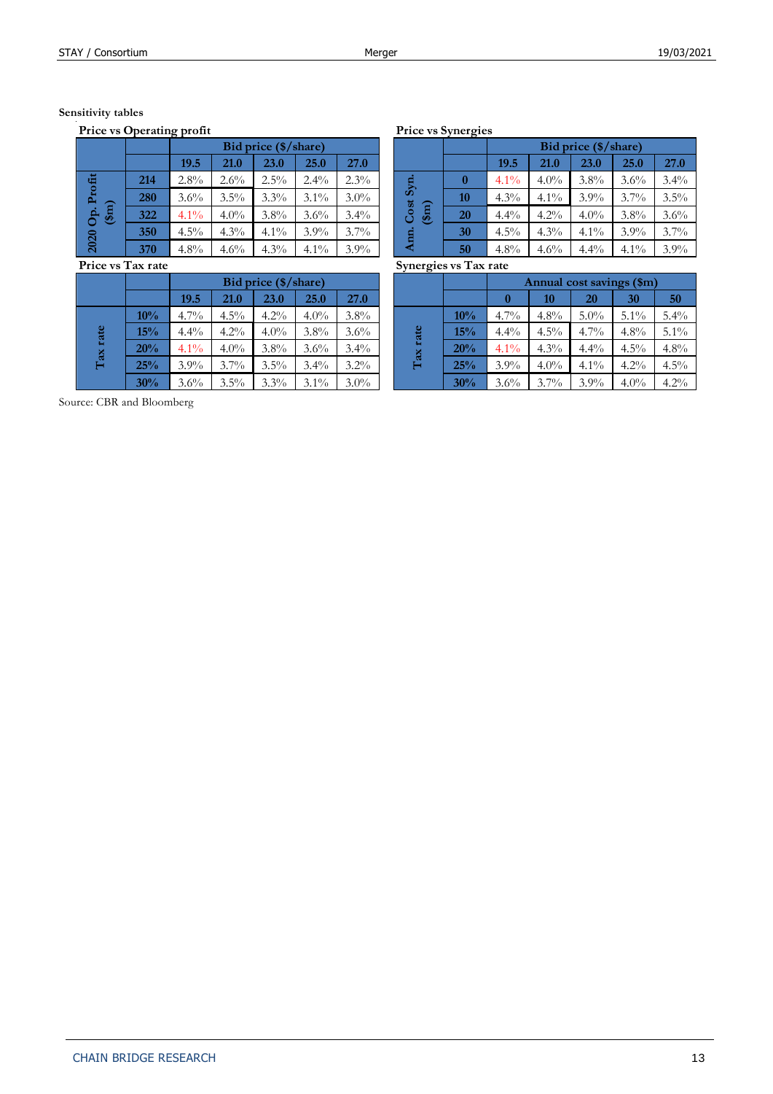# **Sensitivity tables**

**Price vs Operating profit Price vs Synergies**

|                            |     |         | Bid price (\$/share) |         |         |         |  |  |  |  |
|----------------------------|-----|---------|----------------------|---------|---------|---------|--|--|--|--|
|                            |     | 19.5    | 21.0                 | 23.0    | 25.0    | 27.0    |  |  |  |  |
| 亩                          | 214 | 2.8%    | $2.6\%$              | $2.5\%$ | $2.4\%$ | 2.3%    |  |  |  |  |
|                            | 280 | $3.6\%$ | $3.5\%$              | $3.3\%$ | $3.1\%$ | $3.0\%$ |  |  |  |  |
| $(\mathfrak{f}\mathrm{m})$ | 322 | $4.1\%$ | $4.0\%$              | $3.8\%$ | 3.6%    | $3.4\%$ |  |  |  |  |
|                            | 350 | $4.5\%$ | $4.3\%$              | $4.1\%$ | $3.9\%$ | 3.7%    |  |  |  |  |
| 2020                       | 370 | $4.8\%$ | 4.6%                 | $4.3\%$ | $4.1\%$ | $3.9\%$ |  |  |  |  |

| 11100 TO 1011 INTO |     |                      |         |         |         |         |  |  |  |  |  |
|--------------------|-----|----------------------|---------|---------|---------|---------|--|--|--|--|--|
|                    |     | Bid price (\$/share) |         |         |         |         |  |  |  |  |  |
|                    |     | 19.5                 | 21.0    | 23.0    | 25.0    | 27.0    |  |  |  |  |  |
|                    | 10% | $4.7\%$              | $4.5\%$ | $4.2\%$ | $4.0\%$ | 3.8%    |  |  |  |  |  |
| rate               | 15% | $4.4\%$              | $4.2\%$ | $4.0\%$ | $3.8\%$ | $3.6\%$ |  |  |  |  |  |
|                    | 20% | $4.1\%$              | 4.0%    | $3.8\%$ | $3.6\%$ | $3.4\%$ |  |  |  |  |  |
| Tax                | 25% | $3.9\%$              | $3.7\%$ | $3.5\%$ | $3.4\%$ | $3.2\%$ |  |  |  |  |  |
|                    | 30% | $3.6\%$              | $3.5\%$ | 3.3%    | $3.1\%$ | $3.0\%$ |  |  |  |  |  |

|     | __                   |         |         |         |             |     |                                         |         |                      |         |         |         |         |
|-----|----------------------|---------|---------|---------|-------------|-----|-----------------------------------------|---------|----------------------|---------|---------|---------|---------|
|     | Bid price (\$/share) |         |         |         |             |     |                                         |         | Bid price (\$/share) |         |         |         |         |
|     | 19.5                 | 21.0    | 23.0    | 25.0    | <b>27.0</b> |     |                                         |         | 19.5                 | 21.0    | 23.0    | 25.0    | 27.0    |
| 214 | $2.8\%$              | $2.6\%$ | $2.5\%$ | $2.4\%$ | $2.3\%$     | Syn | 0                                       | $4.1\%$ | $4.0\%$              | $3.8\%$ | $3.6\%$ | $3.4\%$ |         |
| 280 | $3.6\%$              | $3.5\%$ | $3.3\%$ | $3.1\%$ | $3.0\%$     |     | Cost<br>$(\mathfrak{f}\mathrm{m})$<br>⋖ | 10      | $4.3\%$              | $4.1\%$ | $3.9\%$ | $3.7\%$ | 3.5%    |
| 322 | $4.1\%$              | $4.0\%$ | $3.8\%$ | $3.6\%$ | $3.4\%$     |     |                                         | 20      | $4.4\%$              | $4.2\%$ | $4.0\%$ | $3.8\%$ | 3.6%    |
| 350 | $4.5\%$              | $4.3\%$ | $4.1\%$ | $3.9\%$ | $3.7\%$     |     |                                         | 30      | $4.5\%$              | $4.3\%$ | $4.1\%$ | $3.9\%$ | 3.7%    |
| 370 | $4.8\%$              | 4.6%    | $4.3\%$ | $4.1\%$ | $3.9\%$     |     |                                         | 50      | $4.8\%$              | 4.6%    | $4.4\%$ | $4.1\%$ | $3.9\%$ |

**Price vs Tax rate Synergies vs Tax rate**

| ia tale |                      |         |         |         |         |      | OVIRIZICO VO TRATAR |         |                           |         |         |         |         |  |  |
|---------|----------------------|---------|---------|---------|---------|------|---------------------|---------|---------------------------|---------|---------|---------|---------|--|--|
|         | Bid price (\$/share) |         |         |         |         |      |                     |         | Annual cost savings (\$m) |         |         |         |         |  |  |
|         | 19.5                 | 21.0    | 23.0    | 25.0    | 27.0    |      |                     |         |                           | 10      | 20      | 30      | 50      |  |  |
| 10%     | $4.7\%$              | $4.5\%$ | $4.2\%$ | $4.0\%$ | $3.8\%$ | rate | $10\%$              | $4.7\%$ | $4.8\%$                   | $5.0\%$ | $5.1\%$ | 5.4%    |         |  |  |
| 15%     | $4.4\%$              | $4.2\%$ | $4.0\%$ | $3.8\%$ | $3.6\%$ |      |                     | 15%     | $4.4\%$                   | $4.5\%$ | $4.7\%$ | $4.8\%$ | $5.1\%$ |  |  |
| 20%     | $4.1\%$              | $4.0\%$ | $3.8\%$ | $3.6\%$ | $3.4\%$ |      | ax                  | 20%     | $4.1\%$                   | $4.3\%$ | $4.4\%$ | $4.5\%$ | $4.8\%$ |  |  |
| 25%     | $3.9\%$              | $3.7\%$ | $3.5\%$ | $3.4\%$ | $3.2\%$ |      | Е                   | 25%     | $3.9\%$                   | $4.0\%$ | $4.1\%$ | $4.2\%$ | $4.5\%$ |  |  |
| 30%     | $3.6\%$              | $3.5\%$ | $3.3\%$ | $3.1\%$ | $3.0\%$ |      |                     | 30%     | $3.6\%$                   | $3.7\%$ | $3.9\%$ | $4.0\%$ | $4.2\%$ |  |  |
|         |                      |         |         |         |         |      |                     |         |                           |         |         |         |         |  |  |

Source: CBR and Bloomberg